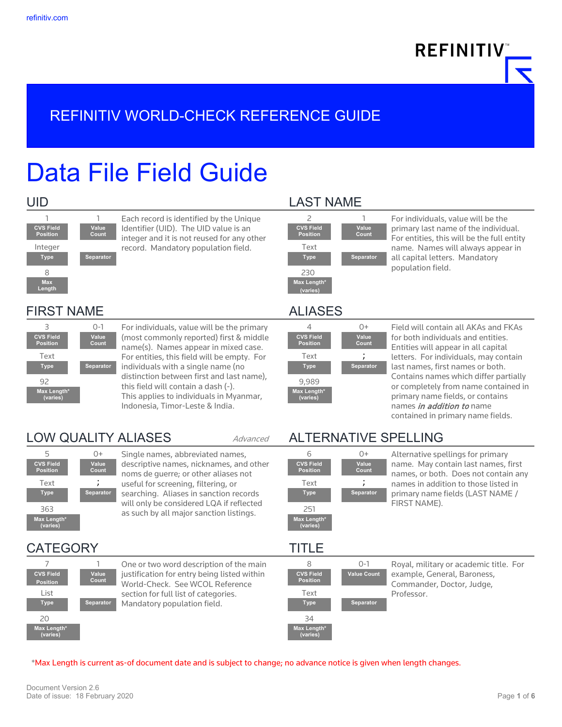**REFINITIV** 

# REFINITIV WORLD-CHECK REFERENCE GUIDE

# Data File Field Guide



1 1 Each record is identified by the Unique Identifier (UID). The UID value is an integer and it is not reused for any other Integer [18] Text Tecord. Mandatory population field.

### UID LAST NAME



2 1 For individuals, value will be the primary last name of the individual. For entities, this will be the full entity name. Names will always appear in all capital letters. Mandatory population field.

### FIRST NAME ALIASES



3 0-1 For individuals, value will be the primary (most commonly reported) first & middle name(s). Names appear in mixed case. Text For entities, this field will be empty. For Text Text individuals with a single name (no **Type Separator Type Separator** distinction between first and last name), 92 and this field will contain a dash (-). 9,989 This applies to individuals in Myanmar, Indonesia, Timor-Leste & India.



**CVS Field Position**

**Max Length\* (varies)**

5 0+ Single names, abbreviated names, descriptive names, nicknames, and other noms de guerre; or other aliases not useful for screening, filtering, or Text ; Text ; searching. Aliases in sanction records **Type Separator Type Separator** will only be considered LQA if reflected as such by all major sanction listings.

CATEGORY TITLE 7 1 One or two word description of the main justification for entry being listed within World-Check. See WCOL Reference section for full list of categories. List Text Mandatory population field. **Type Separator Type Separator Value Count**  $20 \hspace{2.5cm} 34$ 

|                                     | $\ddot{}$             |
|-------------------------------------|-----------------------|
| <b>CVS Field</b><br><b>Position</b> | <b>Value</b><br>Count |
| Text                                |                       |
| <b>Type</b>                         | Separato              |
| 9,989                               |                       |
| Max Length*<br>(varies)             |                       |
|                                     |                       |

Field will contain all AKAs and FKAs for both individuals and entities. Entities will appear in all capital letters. For individuals, may contain last names, first names or both. Contains names which differ partially or completely from name contained in primary name fields, or contains names *in addition to* name contained in primary name fields.

## LOW QUALITY ALIASES Advanced ALTERNATIVE SPELLING



6 0+ Alternative spellings for primary name. May contain last names, first names, or both. Does not contain any names in addition to those listed in primary name fields (LAST NAME / FIRST NAME).

**CVS Field Position**

**Max Length\* (varies)**



\*Max Length is current as-of document date and is subject to change; no advance notice is given when length changes.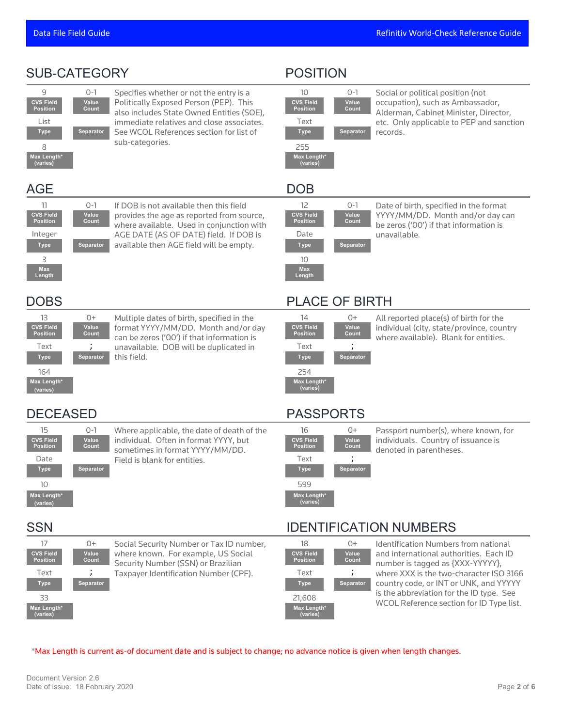| <b>SUB-CATEGORY</b>                                                                                                                                          |                                                                                                                                                                                                                                           | <b>POSITION</b>                                                                                                                                                |                                                                                                                                                                                                                                                                                                 |
|--------------------------------------------------------------------------------------------------------------------------------------------------------------|-------------------------------------------------------------------------------------------------------------------------------------------------------------------------------------------------------------------------------------------|----------------------------------------------------------------------------------------------------------------------------------------------------------------|-------------------------------------------------------------------------------------------------------------------------------------------------------------------------------------------------------------------------------------------------------------------------------------------------|
| 9<br>$0 - 1$<br><b>CVS Field</b><br>Value<br>Count<br><b>Position</b><br>List<br><b>Type</b><br><b>Separator</b><br>8<br>Max Length*<br>(varies)             | Specifies whether or not the entry is a<br>Politically Exposed Person (PEP). This<br>also includes State Owned Entities (SOE),<br>immediate relatives and close associates.<br>See WCOL References section for list of<br>sub-categories. | 10<br>0-1<br><b>CVS Field</b><br>Value<br><b>Position</b><br>Count<br>Text<br><b>Type</b><br>Separator<br>255<br>Max Length*<br>(varies)                       | Social or political position (not<br>occupation), such as Ambassador,<br>Alderman, Cabinet Minister, Director,<br>etc. Only applicable to PEP and sanction<br>records.                                                                                                                          |
| <b>AGE</b>                                                                                                                                                   |                                                                                                                                                                                                                                           | <b>DOB</b>                                                                                                                                                     |                                                                                                                                                                                                                                                                                                 |
| 11<br>$0 - 1$<br><b>CVS Field</b><br>Value<br><b>Position</b><br>Count<br>Integer<br>Separator<br><b>Type</b><br>3<br><b>Max</b><br>Length                   | If DOB is not available then this field<br>provides the age as reported from source,<br>where available. Used in conjunction with<br>AGE DATE (AS OF DATE) field. If DOB is<br>available then AGE field will be empty.                    | $0 - 1$<br>12<br><b>CVS Field</b><br>Value<br><b>Position</b><br>Count<br>Date<br>Separator<br><b>Type</b><br>10<br><b>Max</b><br>Length                       | Date of birth, specified in the format<br>YYYY/MM/DD. Month and/or day can<br>be zeros ('00') if that information is<br>unavailable.                                                                                                                                                            |
| <b>DOBS</b>                                                                                                                                                  |                                                                                                                                                                                                                                           | <b>PLACE OF BIRTH</b>                                                                                                                                          |                                                                                                                                                                                                                                                                                                 |
| 13<br>$0+$<br><b>CVS Field</b><br>Value<br><b>Position</b><br>Count<br>Text<br><b>Separator</b><br><b>Type</b><br>164<br>Max Length*<br>(varies)             | Multiple dates of birth, specified in the<br>format YYYY/MM/DD. Month and/or day<br>can be zeros ('00') if that information is<br>unavailable. DOB will be duplicated in<br>this field.                                                   | 14<br>0+<br><b>CVS Field</b><br>Value<br><b>Position</b><br>Count<br>Text<br><b>Type</b><br>Separator<br>254<br>Max Length*<br>(varies)                        | All reported place(s) of birth for the<br>individual (city, state/province, country<br>where available). Blank for entities.                                                                                                                                                                    |
| <b>DECEASED</b>                                                                                                                                              |                                                                                                                                                                                                                                           | <b>PASSPORTS</b>                                                                                                                                               |                                                                                                                                                                                                                                                                                                 |
| 15<br>$0 - 1$<br><b>CVS Field</b><br>Value<br><b>Position</b><br>Count<br>Date<br><b>Type</b><br><b>Separator</b><br>10<br>Max Length*<br>(varies)           | Where applicable, the date of death of the<br>individual. Often in format YYYY, but<br>sometimes in format YYYY/MM/DD.<br>Field is blank for entities.                                                                                    | 16<br>0+<br><b>CVS Field</b><br>Value<br><b>Position</b><br>Count<br>;<br>Text<br><b>Separator</b><br><b>Type</b><br>599<br>Max Length*<br>(varies)            | Passport number(s), where known, for<br>individuals. Country of issuance is<br>denoted in parentheses.                                                                                                                                                                                          |
| <b>SSN</b>                                                                                                                                                   |                                                                                                                                                                                                                                           | <b>IDENTIFICATION NUMBERS</b>                                                                                                                                  |                                                                                                                                                                                                                                                                                                 |
| 17<br>$0+$<br><b>CVS Field</b><br>Value<br>Count<br><b>Position</b><br>Text<br>$\lambda$<br><b>Separator</b><br><b>Type</b><br>33<br>Max Length*<br>(varies) | Social Security Number or Tax ID number,<br>where known. For example, US Social<br>Security Number (SSN) or Brazilian<br>Taxpayer Identification Number (CPF).                                                                            | 18<br>0+<br><b>CVS Field</b><br>Value<br><b>Position</b><br>Count<br>Text<br>$\lambda$<br><b>Separator</b><br><b>Type</b><br>21,608<br>Max Length*<br>(varies) | Identification Numbers from national<br>and international authorities. Each ID<br>number is tagged as {XXX-YYYYY},<br>where XXX is the two-character ISO 3166<br>country code, or INT or UNK, and YYYYY<br>is the abbreviation for the ID type. See<br>WCOL Reference section for ID Type list. |

\*Max Length is current as-of document date and is subject to change; no advance notice is given when length changes.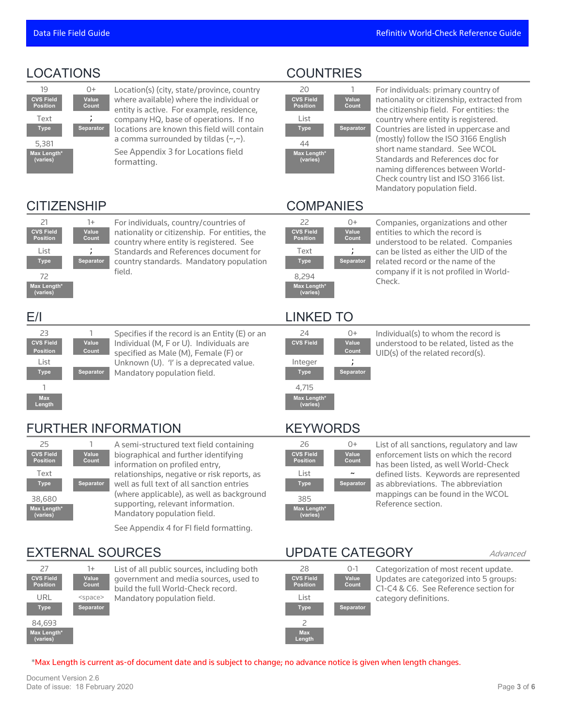

19 0+ Location(s) (city, state/province, country where available) where the individual or entity is active. For example, residence,  $Text$  ,  $\qquad \qquad$  company HQ, base of operations. If no  $\qquad \qquad$  List locations are known this field will contain **Type Separator Type Separator** a comma surrounded by tildas (~,~). See Appendix 3 for Locations field  $5,381$  a comma surrounded by the  $3,7,7$ . 44

formatting.

### LOCATIONS COUNTRIES



20 1 For individuals: primary country of nationality or citizenship, extracted from the citizenship field. For entities: the country where entity is registered. Countries are listed in uppercase and (mostly) follow the ISO 3166 English short name standard. See WCOL Standards and References doc for naming differences between World-Check country list and ISO 3166 list. Mandatory population field.

# CITIZENSHIP COMPANIES



21 1+ For individuals, country/countries of nationality or citizenship. For entities, the country where entity is registered. See Standards and References document for List ; Text ; country standards. Mandatory population **Type Separator Type Separator** field.



23 1 Specifies if the record is an Entity (E) or an Individual (M, F or U). Individuals are specified as Male (M), Female (F) or Unknown (U). 'I' is a deprecated value. List Integer ; Mandatory population field. **Type Separator Type Separator**



25 1 A semi-structured text field containing biographical and further identifying information on profiled entry, relationships, negative or risk reports, as Text List ~ well as full text of all sanction entries **Type Separator Type Separator** (where applicable), as well as background 38,680 (Where applicance), as well as background 385<br>supporting, relevant information. Mandatory population field.

See Appendix 4 for FI field formatting.

### EXTERNAL SOURCES UPDATE CATEGORY Advanced





28 0-1 Categorization of most recent update. Updates are categorized into 5 groups: C1-C4 & C6. See Reference section for category definitions.

### \*Max Length is current as-of document date and is subject to change; no advance notice is given when length changes.

Document Version 2.6 Date of issue: 18 February 2020 Page **3** of **6**

| 22                                  | 0+                    |
|-------------------------------------|-----------------------|
| <b>CVS Field</b><br><b>Position</b> | <b>Value</b><br>Count |
| Text                                |                       |
| <b>Type</b>                         | Separator             |
| 8,294                               |                       |
| Max Length*<br>(varies)             |                       |

Check.

Companies, organizations and other entities to which the record is understood to be related. Companies can be listed as either the UID of the related record or the name of the company if it is not profiled in World-

 $24$  0+ Individual(s) to whom the record is<br>s Field value understood to be related listed as understood to be related, listed as the UID(s) of the related record(s).

### FURTHER INFORMATION KEYWORDS

**Count**

**CVS Field** 

**Max Length\* (varies)**



26 0+ List of all sanctions, regulatory and law enforcement lists on which the record has been listed, as well World-Check defined lists. Keywords are represented as abbreviations. The abbreviation mappings can be found in the WCOL Reference section.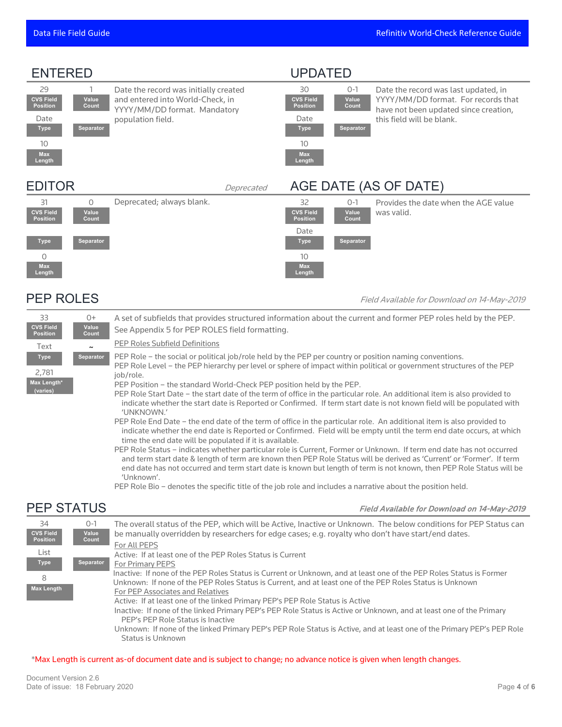### ENTERED UPDATED

**Max Length**



**CVS Field Position**

30 0-1 Date the record was last updated, in YYYY/MM/DD format. For records that have not been updated since creation, this field will be blank.

### EDITOR Deprecated AGE DATE (AS OF DATE)

**Value Count**



PEP ROLES Field Available for Download on 14-May-2019

| 33<br><b>CVS Field</b><br><b>Position</b>       | 0+<br>Value<br>Count | A set of subfields that provides structured information about the current and former PEP roles held by the PEP.<br>See Appendix 5 for PEP ROLES field formatting.                                                                                                                                                                                                                                                                                                                                                                                                                                                                                                                                                                                                                                                                            |
|-------------------------------------------------|----------------------|----------------------------------------------------------------------------------------------------------------------------------------------------------------------------------------------------------------------------------------------------------------------------------------------------------------------------------------------------------------------------------------------------------------------------------------------------------------------------------------------------------------------------------------------------------------------------------------------------------------------------------------------------------------------------------------------------------------------------------------------------------------------------------------------------------------------------------------------|
| Text                                            |                      | PEP Roles Subfield Definitions                                                                                                                                                                                                                                                                                                                                                                                                                                                                                                                                                                                                                                                                                                                                                                                                               |
| <b>Type</b><br>2,781<br>Max Length*<br>(varies) | Separator            | PEP Role – the social or political job/role held by the PEP per country or position naming conventions.<br>PEP Role Level – the PEP hierarchy per level or sphere of impact within political or government structures of the PEP<br>iob/role.<br>PEP Position – the standard World-Check PEP position held by the PEP.<br>PEP Role Start Date – the start date of the term of office in the particular role. An additional item is also provided to<br>indicate whether the start date is Reported or Confirmed. If term start date is not known field will be populated with<br>'UNKNOWN.'<br>PEP Role End Date – the end date of the term of office in the particular role. An additional item is also provided to<br>indicate whether the end date is Reported or Confirmed. Field will be empty until the term end date occurs, at which |
|                                                 |                      | time the end date will be populated if it is available.<br>PEP Role Status – indicates whether particular role is Current, Former or Unknown. If term end date has not occurred<br>and term start date & length of term are known then PEP Role Status will be derived as 'Current' or 'Former'. If term<br>and data has not commodited to demonstrate to he considered a cubiof tomotometric considers. <b>DED D</b> ata <b>C</b> tatric million                                                                                                                                                                                                                                                                                                                                                                                            |

end date has not occurred and term start date is known but length of term is not known, then PEP Role Status will be 'Unknown'.

PEP Role Bio – denotes the specific title of the job role and includes a narrative about the position held.

PEP STATUS Field Available for Download on 14-May-2019

| 34<br><b>CVS Field</b> | $O-1$<br>Value   | The overall status of the PEP, which will be Active, Inactive or Unknown. The below conditions for PEP Status can<br>be manually overridden by researchers for edge cases; e.g. royalty who don't have start/end dates.         |
|------------------------|------------------|---------------------------------------------------------------------------------------------------------------------------------------------------------------------------------------------------------------------------------|
| <b>Position</b>        | Count            | For All PEPS                                                                                                                                                                                                                    |
| List<br><b>Type</b>    | <b>Separator</b> | Active: If at least one of the PEP Roles Status is Current<br>For Primary PEPS                                                                                                                                                  |
| 8                      |                  | Inactive: If none of the PEP Roles Status is Current or Unknown, and at least one of the PEP Roles Status is Former<br>Unknown: If none of the PEP Roles Status is Current, and at least one of the PEP Roles Status is Unknown |
| <b>Max Length</b>      |                  | For PEP Associates and Relatives                                                                                                                                                                                                |
|                        |                  | Active: If at least one of the linked Primary PEP's PEP Role Status is Active                                                                                                                                                   |
|                        |                  | Inactive: If none of the linked Primary PEP's PEP Role Status is Active or Unknown, and at least one of the Primary<br>PEP's PEP Role Status is Inactive                                                                        |
|                        |                  | Unknown: If none of the linked Primary PEP's PEP Role Status is Active, and at least one of the Primary PEP's PEP Role<br>Status is Unknown                                                                                     |

### \*Max Length is current as-of document date and is subject to change; no advance notice is given when length changes.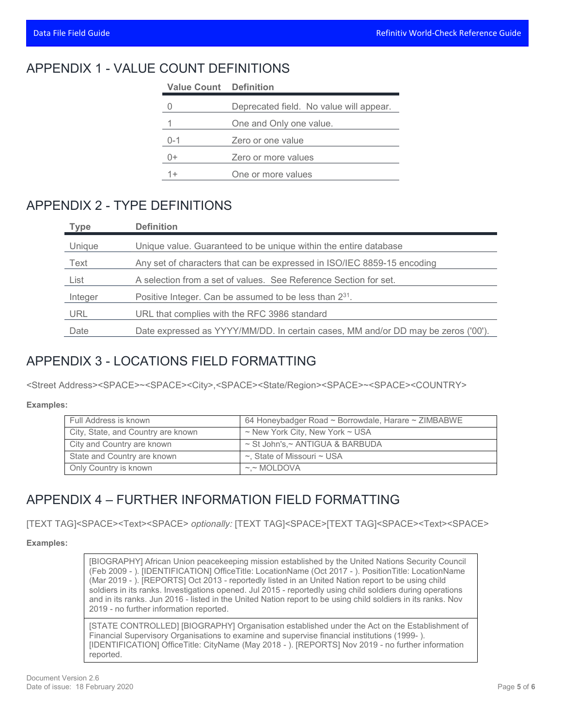### APPENDIX 1 - VALUE COUNT DEFINITIONS

| <b>Value Count</b> Definition |                                         |
|-------------------------------|-----------------------------------------|
|                               | Deprecated field. No value will appear. |
|                               | One and Only one value.                 |
| $0 - 1$                       | Zero or one value                       |
| 0+                            | Zero or more values                     |
|                               | One or more values                      |

### APPENDIX 2 - TYPE DEFINITIONS

| <b>Type</b> | <b>Definition</b>                                                                 |
|-------------|-----------------------------------------------------------------------------------|
| Unique      | Unique value. Guaranteed to be unique within the entire database                  |
| Text        | Any set of characters that can be expressed in ISO/IEC 8859-15 encoding           |
| List        | A selection from a set of values. See Reference Section for set.                  |
| Integer     | Positive Integer. Can be assumed to be less than 2 <sup>31</sup> .                |
| URL         | URL that complies with the RFC 3986 standard                                      |
| Date        | Date expressed as YYYY/MM/DD. In certain cases, MM and/or DD may be zeros ('00'). |

### APPENDIX 3 - LOCATIONS FIELD FORMATTING

<Street Address><SPACE>~<SPACE><City>,<SPACE><State/Region><SPACE>~<SPACE><COUNTRY>

**Examples:**

| Full Address is known              | 64 Honeybadger Road ~ Borrowdale, Harare ~ ZIMBABWE |
|------------------------------------|-----------------------------------------------------|
| City, State, and Country are known | $\sim$ New York City, New York $\sim$ USA           |
| City and Country are known         | ~ St John's,~ ANTIGUA & BARBUDA                     |
| State and Country are known        | $\sim$ , State of Missouri $\sim$ USA               |
| Only Country is known              | $\sim$ MOLDOVA                                      |

## APPENDIX 4 – FURTHER INFORMATION FIELD FORMATTING

[TEXT TAG]<SPACE><Text><SPACE> *optionally:* [TEXT TAG]<SPACE>[TEXT TAG]<SPACE><Text><SPACE>

**Examples:**

[BIOGRAPHY] African Union peacekeeping mission established by the United Nations Security Council (Feb 2009 - ). [IDENTIFICATION] OfficeTitle: LocationName (Oct 2017 - ). PositionTitle: LocationName (Mar 2019 - ). [REPORTS] Oct 2013 - reportedly listed in an United Nation report to be using child soldiers in its ranks. Investigations opened. Jul 2015 - reportedly using child soldiers during operations and in its ranks. Jun 2016 - listed in the United Nation report to be using child soldiers in its ranks. Nov 2019 - no further information reported.

[STATE CONTROLLED] [BIOGRAPHY] Organisation established under the Act on the Establishment of Financial Supervisory Organisations to examine and supervise financial institutions (1999- ). [IDENTIFICATION] OfficeTitle: CityName (May 2018 - ). [REPORTS] Nov 2019 - no further information reported.